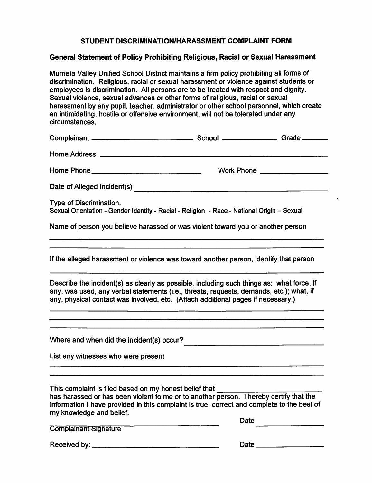# **STUDENT DISCRIMINATION/HARASSMENT COMPLAINT FORM**

# **General Statement of Policy Prohibiting Religious, Racial or Sexual Harassment**

Murrieta Valley Unified School District maintains a firm policy prohibiting all forms of discrimination. Religious, racial or sexual harassment or violence against students or employees is discrimination. All persons are to be treated with respect and dignity. Sexual violence, sexual advances or other forms of religious, racial or sexual harassment by any pupil, teacher, administrator or other school personnel, which create an intimidating, hostile or offensive environment, will not be tolerated under any circumstances.

| circumstances.                                                                                                                                                                                                                                                                                                      |      |                              |
|---------------------------------------------------------------------------------------------------------------------------------------------------------------------------------------------------------------------------------------------------------------------------------------------------------------------|------|------------------------------|
|                                                                                                                                                                                                                                                                                                                     |      |                              |
|                                                                                                                                                                                                                                                                                                                     |      |                              |
|                                                                                                                                                                                                                                                                                                                     |      | Work Phone _________________ |
|                                                                                                                                                                                                                                                                                                                     |      |                              |
| <b>Type of Discrimination:</b><br>Sexual Orientation - Gender Identity - Racial - Religion - Race - National Origin - Sexual                                                                                                                                                                                        |      |                              |
| Name of person you believe harassed or was violent toward you or another person                                                                                                                                                                                                                                     |      |                              |
| <u> 1980 - Jan Samuel Barbara, martin da shekara ta 1980 - An tsara tsa a shekara tsa a shekara tsa a shekara tsa</u><br>If the alleged harassment or violence was toward another person, identify that person                                                                                                      |      |                              |
| Describe the incident(s) as clearly as possible, including such things as: what force, if<br>any, was used, any verbal statements (i.e., threats, requests, demands, etc.); what, if<br>any, physical contact was involved, etc. (Attach additional pages if necessary.)                                            |      |                              |
| <u> 2000 - Andrea Andrew Maria (h. 1982).</u>                                                                                                                                                                                                                                                                       |      |                              |
| List any witnesses who were present                                                                                                                                                                                                                                                                                 |      |                              |
| This complaint is filed based on my honest belief that ________<br>has harassed or has been violent to me or to another person. I hereby certify that the<br>information I have provided in this complaint is true, correct and complete to the best of<br>my knowledge and belief.<br><b>Complainant Signature</b> | Date |                              |
|                                                                                                                                                                                                                                                                                                                     |      |                              |
|                                                                                                                                                                                                                                                                                                                     |      |                              |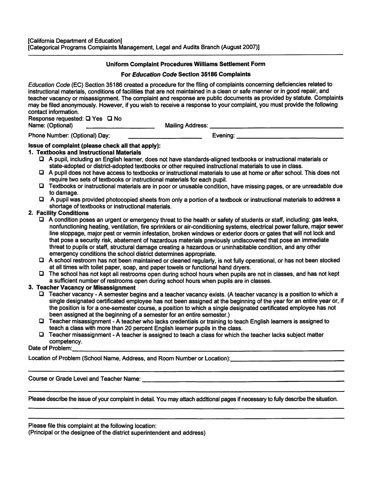# **Uniform Complaint Procedures Williams Settlement Form**

#### **For Education Code Section 35186 Complaints**

Education Code (EC} Section 35186 created a procedure for the filing of complaints concerning deficiencies related to instructional materials, conditions of facilities that are not maintained in a clean or safe manner or in good repair, and teacher vacancy or misassignment. The complaint and response are public documents as provided by statute. Complaints may be filed anonymously. However, if you wish to receive a response to your complaint, you must provide the following contact information.

Response requested: □ Yes □ No<br>Name: (Optional) Name: (Optional) \_\_\_\_\_\_\_\_\_ Mailing Address: \_\_\_\_\_\_\_\_\_\_\_\_\_\_\_\_\_\_

Phone Number: (Optional) Day: example and the second service of the Evening: example and the second service of the service of the service of the service of the service of the service of the service of the service of the se

# **Issue of complaint (please check all that apply):**

#### **1. Textbooks and Instructional Materials**

- □ A pupil, including an English learner, does not have standards-aligned textbooks or instructional materials or state-adopted or district-adopted textbooks or other required instructional materials to use in class.
- □ A pupil does not have access to textbooks or instructional materials to use at home or after school. This does not require two sets of textbooks or instructional materials for each pupil.
- □ Textbooks or instructional materials are in poor or unusable condition, have missing pages, or are unreadable due to damage.
- □ A pupil was provided photocopied sheets from only a portion of a textbook or instructional materials to address a shortage of textbooks or instructional materials.

# 2. Facility **Conditions**

- □ A condition poses an urgent or emergency threat to the health or safety of students or staff, including: gas leaks, nonfunctioning heating, ventilation, fire sprinklers or air-conditioning systems, electrical power failure, major sewer line stoppage, major pest or vermin infestation, broken windows or exterior doors or gates that will not lock and that pose a security risk, abatement of hazardous materials previously undiscovered that pose an immediate threat to pupils or staff, structural damage creating a hazardous or uninhabitable condition, and any other emergency conditions the school district determines appropriate.
- □ A school restroom has not been maintained or cleaned regularly, is not fully operational, or has not been stocked at all times with toilet paper, soap, and paper towels or functional hand dryers.
- □ The school has not kept all restrooms open during school hours when pupils are not in classes, and has not kept a sufficient number of restrooms open during school hours when pupils are in classes.

# **3. Teacher Vacancy or Misassignment**

- □ Teacher vacancy -A semester begins and a teacher vacancy exists. (A teacher vacancy is a position to which a single designated certificated employee has not been assigned at the beginning of the year for an entire year or, if the position is for a one-semester course, a position to which a single designated certificated employee has not been assigned at the beginning of a semester for an entire semester.)
- □ Teacher misassignment A teacher who lacks credentials or training to teach English learners is assigned to teach a class with more than 20 percent English learner pupils in the class.
- □ Teacher misassignment -A teacher is assigned to teach a class for which the teacher lacks subject matter competency. Date of Problem: \_\_\_\_\_\_\_\_\_\_\_\_\_\_\_\_\_\_\_\_\_\_\_\_\_\_\_\_\_\_\_\_\_\_\_\_

Location of Problem (School Name, Address, and Room Number or Location):\_\_\_\_\_\_\_\_\_\_\_\_\_\_\_\_

Course or Grade Level and Teacher Name: Letture and Teacher Name:

Please describe the issue of your complaint in detail. You may attach additional pages if necessary to fully describe the situation.

Please file this complaint at the following location:

(Principal or the designee of the district superintendent and address)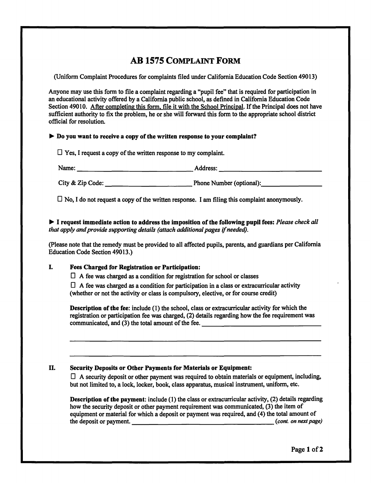# **AB 1575 COMPLAINT FORM**

(Uniform Complaint Procedures for complaints filed under California Education Code Section 49013)

Anyone may use this form to file a complaint regarding a "pupil fee" that is required for participation in an educational activity offered by a California public school, as defined in California Education Code Section 49010. After completing this form, file it with the School Principal. If the Principal does not have sufficient authority to fix the problem, he or she will forward this form to the appropriate school district official for resolution.

# ► **Do you want to receive a copy of the written response to your complaint?**

 $\Box$  Yes, I request a copy of the written response to my complaint.

--------------- -------------- Name: Address:

City & Zip Code: \_\_\_\_\_\_\_\_\_\_\_Phone Number (optional):.\_\_\_\_\_\_\_\_

 $\Box$  No, I do not request a copy of the written response. I am filing this complaint anonymously.

► I **request Immediate action to address the Imposition ofthe following pupil fees:** *Please check all that apply and provide supporting details (attach additional pages if needed).* 

(Please note that the remedy must be provided to all affected pupils, parents, and guardians per California Education Code Section 49013.)

# I. **Fees Charged for Registration or Participation:**

 $\Box$  A fee was charged as a condition for registration for school or classes

 $\Box$  A fee was charged as a condition for participation in a class or extracurricular activity (whether or not the activity or class is compulsory, elective, or for course credit)

**Description of the fee:** include (1) the school, class or extracurricular activity for which the registration or participation fee was charged, (2) details regarding how the fee requirement was communicated, and (3) the total amount of the fee.

# II. **Security Deposits or Other Payments for Materials or Equipment:**

 $\Box$  A security deposit or other payment was required to obtain materials or equipment, including, but not limited to, a lock, locker, book, class apparatus, musical instrument, uniform, etc.

**Description of the payment:** include (1) the class or extracurricular activity, (2) details regarding how the security deposit or other payment requirement was communicated, (3) the item of equipment or material for which a deposit or payment was required, and (4) the total amount of the deposit or payment. *\_\_\_\_\_\_\_\_\_\_\_\_\_\_\_\_\_\_(cont. on next page)*